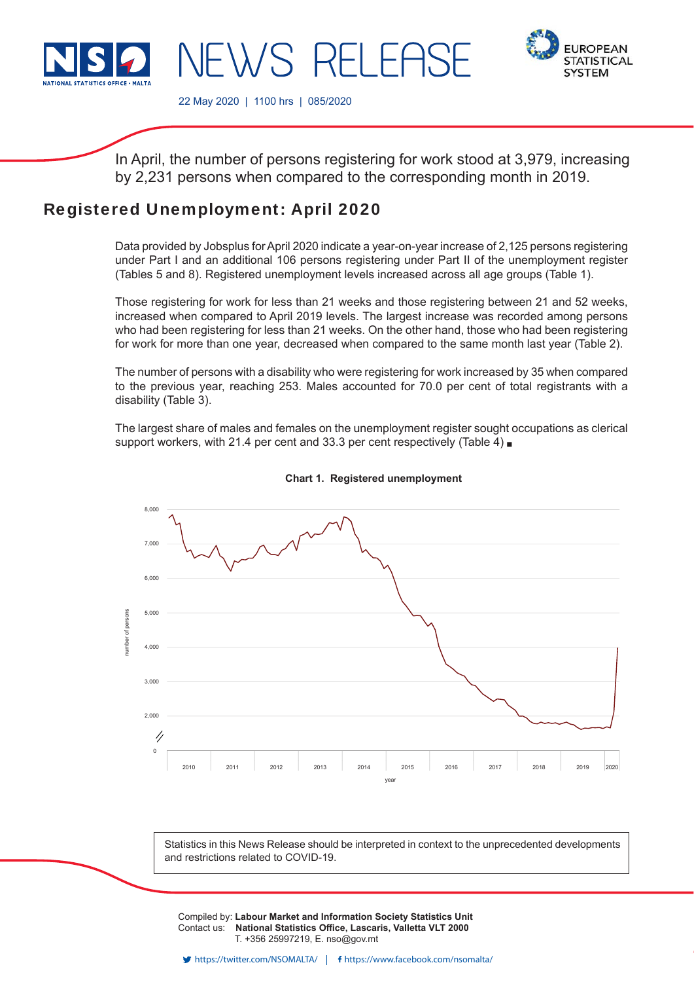

**EUROPEAN STATISTICAL SYSTEM** 

22 May 2020 | 1100 hrs | 085/2020

 $\lambda$ /S RFIFF

In April, the number of persons registering for work stood at 3,979, increasing by 2,231 persons when compared to the corresponding month in 2019.

# Registered Unemployment: April 2020

Data provided by Jobsplus for April 2020 indicate a year-on-year increase of 2,125 persons registering under Part I and an additional 106 persons registering under Part II of the unemployment register (Tables 5 and 8). Registered unemployment levels increased across all age groups (Table 1).

Those registering for work for less than 21 weeks and those registering between 21 and 52 weeks, increased when compared to April 2019 levels. The largest increase was recorded among persons who had been registering for less than 21 weeks. On the other hand, those who had been registering for work for more than one year, decreased when compared to the same month last year (Table 2).

The number of persons with a disability who were registering for work increased by 35 when compared to the previous year, reaching 253. Males accounted for 70.0 per cent of total registrants with a disability (Table 3).

The largest share of males and females on the unemployment register sought occupations as clerical support workers, with 21.4 per cent and 33.3 per cent respectively (Table 4)





Statistics in this News Release should be interpreted in context to the unprecedented developments and restrictions related to COVID-19.

Compiled by: **Labour Market and Information Society Statistics Unit** Contact us: National Statistics Office, Lascaris, Valletta VLT 2000 T. +356 25997219, E. nso@gov.mt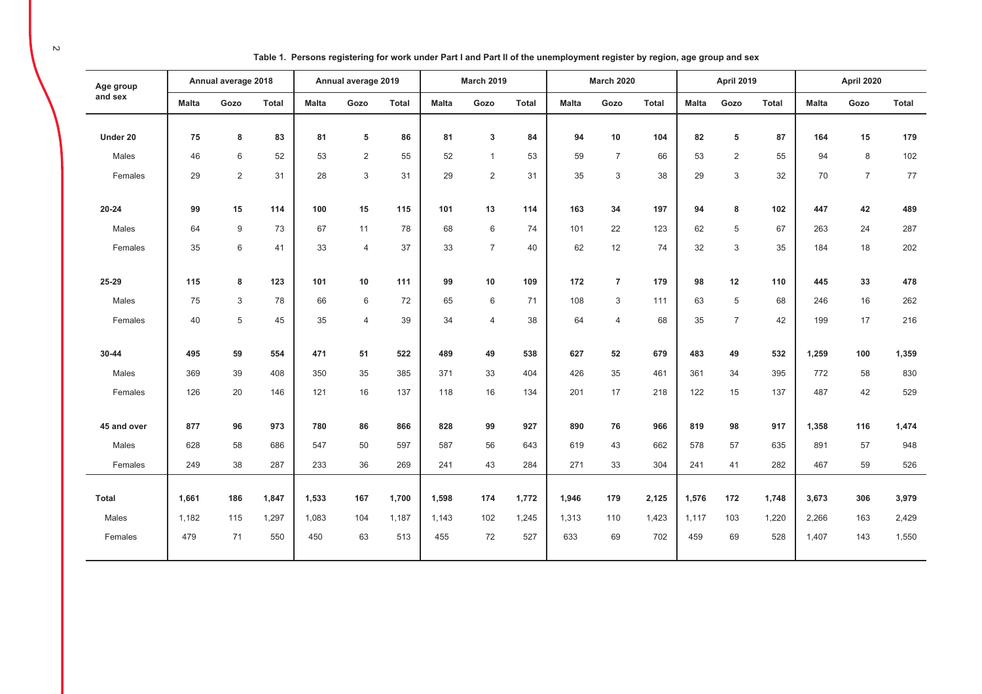| Age group    |              | Annual average 2018 |              |              | Annual average 2019 |              |              | <b>March 2019</b> |              |              | <b>March 2020</b> |              |              | <b>April 2019</b> |       |              | April 2020     |              |
|--------------|--------------|---------------------|--------------|--------------|---------------------|--------------|--------------|-------------------|--------------|--------------|-------------------|--------------|--------------|-------------------|-------|--------------|----------------|--------------|
| and sex      | <b>Malta</b> | Gozo                | <b>Total</b> | <b>Malta</b> | Gozo                | <b>Total</b> | <b>Malta</b> | Gozo              | <b>Total</b> | <b>Malta</b> | Gozo              | <b>Total</b> | <b>Malta</b> | Gozo              | Total | <b>Malta</b> | Gozo           | <b>Total</b> |
| Under 20     | 75           | 8                   | 83           | 81           | 5                   | 86           | 81           | 3                 | 84           | 94           | 10                | 104          | 82           | 5                 | 87    | 164          | 15             | 179          |
| Males        | 46           | 6                   | 52           | 53           | $\overline{2}$      | 55           | 52           | $\mathbf{1}$      | 53           | 59           | $\overline{7}$    | 66           | 53           | 2                 | 55    | 94           | 8              | 102          |
| Females      | 29           | 2                   | 31           | 28           | 3                   | 31           | 29           | $\overline{2}$    | 31           | 35           | 3                 | 38           | 29           | $\sqrt{3}$        | 32    | 70           | $\overline{7}$ | 77           |
| $20 - 24$    | 99           | 15                  | 114          | 100          | 15                  | 115          | 101          | 13                | 114          | 163          | 34                | 197          | 94           | 8                 | 102   | 447          | 42             | 489          |
| Males        | 64           | 9                   | 73           | 67           | 11                  | 78           | 68           | $\,6\,$           | 74           | 101          | 22                | 123          | 62           | 5                 | 67    | 263          | 24             | 287          |
| Females      | 35           | 6                   | 41           | 33           | $\overline{4}$      | 37           | 33           | $\overline{7}$    | 40           | 62           | 12                | 74           | 32           | 3                 | 35    | 184          | 18             | 202          |
| 25-29        | 115          | 8                   | 123          | 101          | 10                  | 111          | 99           | 10                | 109          | 172          | $\overline{7}$    | 179          | 98           | 12                | 110   | 445          | 33             | 478          |
| Males        | 75           | 3                   | 78           | 66           | $6\,$               | 72           | 65           | $\,6\,$           | 71           | 108          | 3                 | 111          | 63           | 5                 | 68    | 246          | 16             | 262          |
| Females      | 40           | 5                   | 45           | 35           | $\overline{4}$      | 39           | 34           | $\overline{4}$    | 38           | 64           | $\overline{4}$    | 68           | 35           | $\overline{7}$    | 42    | 199          | 17             | 216          |
| 30-44        | 495          | 59                  | 554          | 471          | 51                  | 522          | 489          | 49                | 538          | 627          | 52                | 679          | 483          | 49                | 532   | 1,259        | 100            | 1,359        |
| Males        | 369          | 39                  | 408          | 350          | 35                  | 385          | 371          | 33                | 404          | 426          | 35                | 461          | 361          | 34                | 395   | 772          | 58             | 830          |
| Females      | 126          | 20                  | 146          | 121          | 16                  | 137          | 118          | 16                | 134          | 201          | 17                | 218          | 122          | 15                | 137   | 487          | 42             | 529          |
| 45 and over  | 877          | 96                  | 973          | 780          | 86                  | 866          | 828          | 99                | 927          | 890          | 76                | 966          | 819          | 98                | 917   | 1,358        | 116            | 1,474        |
| Males        | 628          | 58                  | 686          | 547          | 50                  | 597          | 587          | 56                | 643          | 619          | 43                | 662          | 578          | 57                | 635   | 891          | 57             | 948          |
| Females      | 249          | 38                  | 287          | 233          | 36                  | 269          | 241          | 43                | 284          | 271          | 33                | 304          | 241          | 41                | 282   | 467          | 59             | 526          |
| <b>Total</b> | 1,661        | 186                 | 1,847        | 1,533        | 167                 | 1,700        | 1,598        | 174               | 1,772        | 1,946        | 179               | 2,125        | 1,576        | 172               | 1,748 | 3,673        | 306            | 3,979        |
| Males        | 1,182        | 115                 | 1,297        | 1.083        | 104                 | 1,187        | 1,143        | 102               | 1,245        | 1,313        | 110               | 1,423        | 1,117        | 103               | 1,220 | 2,266        | 163            | 2,429        |
| Females      | 479          | 71                  | 550          | 450          | 63                  | 513          | 455          | $72\,$            | 527          | 633          | 69                | 702          | 459          | 69                | 528   | 1,407        | 143            | 1,550        |

Table 1. Persons registering for work under Part I and Part II of the unemployment register by region, age group and sex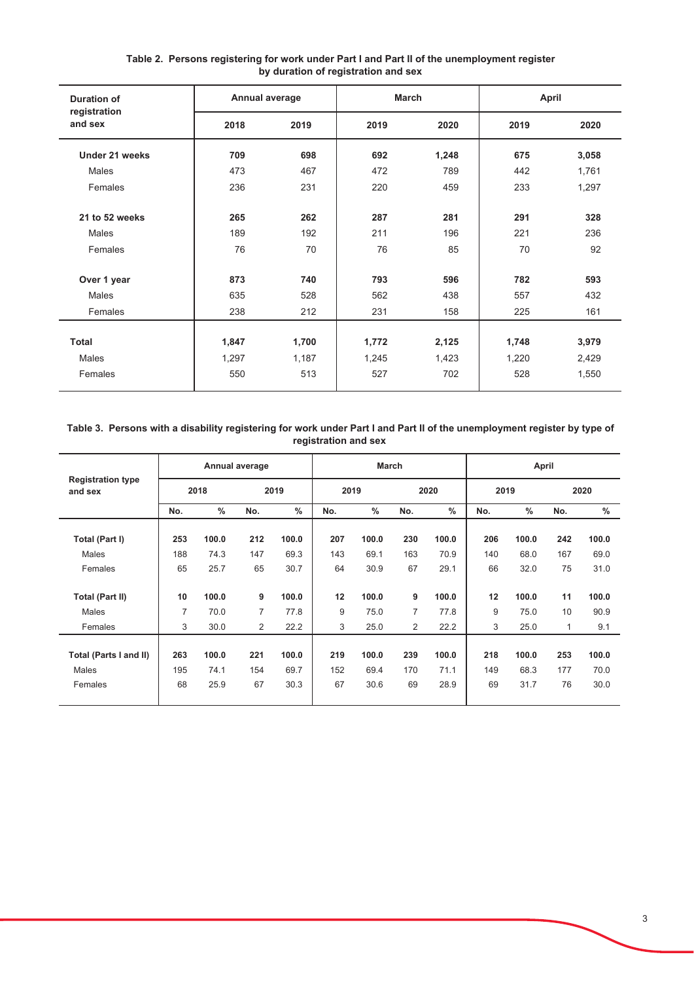| <b>Duration of</b>      | Annual average |       | <b>March</b> |       | <b>April</b> |       |
|-------------------------|----------------|-------|--------------|-------|--------------|-------|
| registration<br>and sex | 2018           | 2019  | 2019         | 2020  | 2019         | 2020  |
| Under 21 weeks          | 709            | 698   | 692          | 1,248 | 675          | 3,058 |
| Males                   | 473            | 467   | 472          | 789   | 442          | 1,761 |
| Females                 | 236            | 231   | 220          | 459   | 233          | 1,297 |
|                         |                |       |              |       |              |       |
| 21 to 52 weeks          | 265            | 262   | 287          | 281   | 291          | 328   |
| <b>Males</b>            | 189            | 192   | 211          | 196   | 221          | 236   |
| Females                 | 76             | 70    | 76           | 85    | 70           | 92    |
|                         |                |       |              |       |              |       |
| Over 1 year             | 873            | 740   | 793          | 596   | 782          | 593   |
| Males                   | 635            | 528   | 562          | 438   | 557          | 432   |
| Females                 | 238            | 212   | 231          | 158   | 225          | 161   |
|                         |                |       |              |       |              |       |
| <b>Total</b>            | 1,847          | 1,700 | 1,772        | 2,125 | 1,748        | 3,979 |
| <b>Males</b>            | 1,297          | 1,187 | 1,245        | 1,423 | 1,220        | 2,429 |
| Females                 | 550            | 513   | 527          | 702   | 528          | 1,550 |
|                         |                |       |              |       |              |       |

#### Table 2. Persons registering for work under Part I and Part II of the unemployment register by duration of registration and sex

## Table 3. Persons with a disability registering for work under Part I and Part II of the unemployment register by type of registration and sex

|                                     |     |       | Annual average |       |      | <b>March</b> |     |               |      | April |     |       |
|-------------------------------------|-----|-------|----------------|-------|------|--------------|-----|---------------|------|-------|-----|-------|
| <b>Registration type</b><br>and sex |     | 2018  |                | 2019  | 2019 |              |     | 2020          | 2019 |       |     | 2020  |
|                                     | No. | $\%$  | No.            | $\%$  | No.  | %            | No. | $\frac{0}{0}$ | No.  | $\%$  | No. | $\%$  |
| Total (Part I)                      | 253 | 100.0 | 212            | 100.0 | 207  | 100.0        | 230 | 100.0         | 206  | 100.0 | 242 | 100.0 |
| Males                               | 188 | 74.3  | 147            | 69.3  | 143  | 69.1         | 163 | 70.9          | 140  | 68.0  | 167 | 69.0  |
| Females                             | 65  | 25.7  | 65             | 30.7  | 64   | 30.9         | 67  | 29.1          | 66   | 32.0  | 75  | 31.0  |
|                                     |     |       |                |       |      |              |     |               |      |       |     |       |
| <b>Total (Part II)</b>              | 10  | 100.0 | 9              | 100.0 | 12   | 100.0        | 9   | 100.0         | 12   | 100.0 | 11  | 100.0 |
| Males                               | 7   | 70.0  | 7              | 77.8  | 9    | 75.0         | 7   | 77.8          | 9    | 75.0  | 10  | 90.9  |
| Females                             | 3   | 30.0  | $\overline{2}$ | 22.2  | 3    | 25.0         | 2   | 22.2          | 3    | 25.0  | 1   | 9.1   |
|                                     |     |       |                |       |      |              |     |               |      |       |     |       |
| Total (Parts I and II)              | 263 | 100.0 | 221            | 100.0 | 219  | 100.0        | 239 | 100.0         | 218  | 100.0 | 253 | 100.0 |
| Males                               | 195 | 74.1  | 154            | 69.7  | 152  | 69.4         | 170 | 71.1          | 149  | 68.3  | 177 | 70.0  |
| Females                             | 68  | 25.9  | 67             | 30.3  | 67   | 30.6         | 69  | 28.9          | 69   | 31.7  | 76  | 30.0  |
|                                     |     |       |                |       |      |              |     |               |      |       |     |       |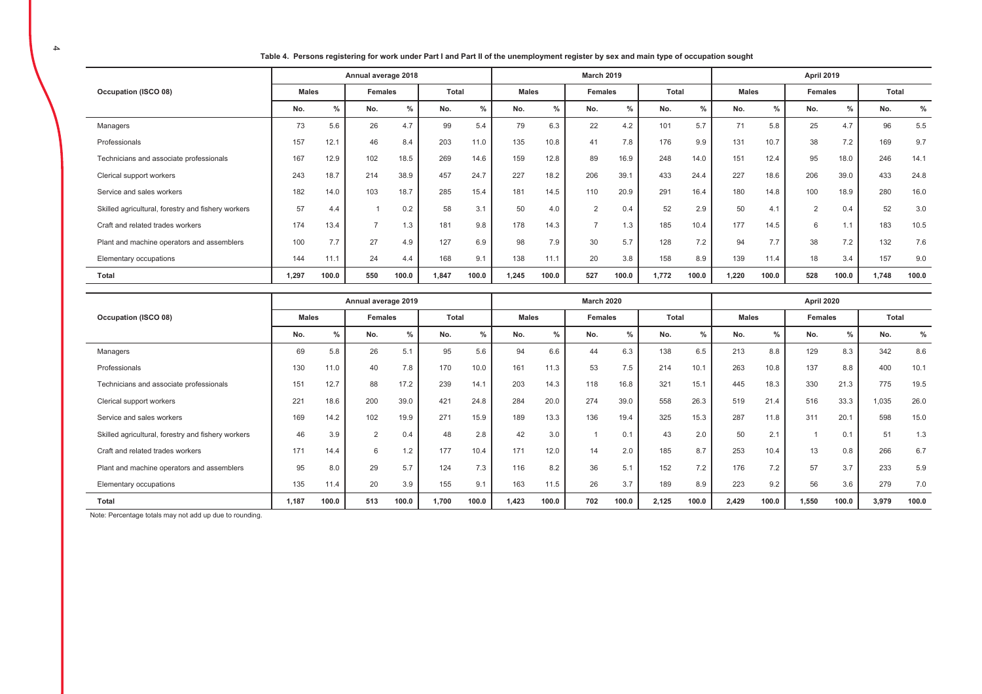|                                         |              |               | Annual average 2018 |      |              |      |              |               | <b>March 2019</b> |      |              |      |              |      | April 2019 |               |  |
|-----------------------------------------|--------------|---------------|---------------------|------|--------------|------|--------------|---------------|-------------------|------|--------------|------|--------------|------|------------|---------------|--|
| Occupation (ISCO 08)                    | <b>Males</b> |               | <b>Females</b>      |      | <b>Total</b> |      | <b>Males</b> |               | Females           |      | <b>Total</b> |      | <b>Males</b> |      | Females    |               |  |
|                                         | No.          | $\frac{9}{6}$ | No.                 | %    | No.          | %    | No.          | $O_{\Lambda}$ | No.               | %    | No.          | %    | No.          | %    | No.        | $\frac{0}{0}$ |  |
| Managers                                | 73           | 5.6           | 26                  | 4.7  | 99           | 5.4  | 79           | 6.3           | 22                | 4.2  | 101          | 5.7  | 74           | 5.8  | 25         | 4.7           |  |
| Professionals                           | 157          | 12.1          | 46                  | 8.4  | 203          | 11.0 | 135          | 10.8          | 41                | 7.8  | 176          | 9.9  | 131          | 10.7 | 38         | 7.2           |  |
| Technicians and associate professionals | 167          | 12.9          | 102                 | 18.5 | 269          | 14.6 | 159          | 12.8          | 89                | 16.9 | 248          | 14.0 | 151          | 12.4 | 95         | 18.0          |  |

24.7

15.4

 $3.1$ 

9.8

6.9

 $9.1$ 

100.0

Table 4. Persons registering for work under Part I and Part II of the unemployment register by sex and main type of occupation sought

227

181

50

178

98

138

1.245

18.2

14.5

 $4.0$ 

14.3

7.9

 $11.1$ 

100.0

206

110

 $\overline{2}$ 

 $\overline{7}$ 

30

20

527

39.1

20.9

 $0.4$ 

 $1.3$ 

5.7

3.8

 $100.0$ 

433

291

52

185

128

158

1.772

24.4

16.4

2.9

10.4

 $7.2$ 

8.9

 $100.0$ 

227

180

50

177

94

139

 $1.220$ 

18.6

14.8

 $4.1$ 

14.5

 $7.7$ 

11.4

 $100.0$ 

206

100

 $\overline{2}$ 

6

38

18

528

39.0

18.9

 $0.4$ 

 $1.1$ 

 $7.2$ 

 $3.4$ 

 $100.0$ 

Total No.

96

169

246

433

280

52

183

132

157

1.748

 $\%$ 

 $5.5$ 

9.7

 $14.1$ 

24.8

16.0

 $3.0$ 

10.5

7.6

 $9.0$ 

 $100.0$ 

|                                                    |              |       | Annual average 2019 |       |       |       |              |               | <b>March 2020</b> |               |              |       |              |       | <b>April 2020</b> |               |       |       |
|----------------------------------------------------|--------------|-------|---------------------|-------|-------|-------|--------------|---------------|-------------------|---------------|--------------|-------|--------------|-------|-------------------|---------------|-------|-------|
| Occupation (ISCO 08)                               | <b>Males</b> |       | Females             |       | Total |       | <b>Males</b> |               | <b>Females</b>    |               | <b>Total</b> |       | <b>Males</b> |       | <b>Females</b>    |               | Total |       |
|                                                    | No.          | $\%$  | No.                 | $\%$  | No.   | $\%$  | No.          | $\frac{9}{6}$ | No.               | $\frac{0}{0}$ | No.          | $\%$  | No.          | $\%$  | No.               | $\frac{0}{6}$ | No.   | $\%$  |
| Managers                                           | 69           | 5.8   | 26                  | 5.1   | 95    | 5.6   | 94           | 6.6           | 44                | 6.3           | 138          | 6.5   | 213          | 8.8   | 129               | 8.3           | 342   | 8.6   |
| Professionals                                      | 130          | 11.0  | 40                  | 7.8   | 170   | 10.0  | 161          | 11.3          | 53                | 7.5           | 214          | 10.1  | 263          | 10.8  | 137               | 8.8           | 400   | 10.1  |
| Technicians and associate professionals            | 151          | 12.7  | 88                  | 17.2  | 239   | 14.1  | 203          | 14.3          | 118               | 16.8          | 321          | 15.1  | 445          | 18.3  | 330               | 21.3          | 775   | 19.5  |
| Clerical support workers                           | 221          | 18.6  | 200                 | 39.0  | 421   | 24.8  | 284          | 20.0          | 274               | 39.0          | 558          | 26.3  | 519          | 21.4  | 516               | 33.3          | 1.035 | 26.0  |
| Service and sales workers                          | 169          | 14.2  | 102                 | 19.9  | 271   | 15.9  | 189          | 13.3          | 136               | 19.4          | 325          | 15.3  | 287          | 11.8  | 311               | 20.1          | 598   | 15.0  |
| Skilled agricultural, forestry and fishery workers | 46           | 3.9   | $\overline{2}$      | 0.4   | 48    | 2.8   | 42           | 3.0           |                   | 0.1           | 43           | 2.0   | 50           | 2.1   |                   | 0.1           | 51    | 1.3   |
| Craft and related trades workers                   | 171          | 14.4  | 6                   | 1.2   | 177   | 10.4  | 171          | 12.0          | 14                | 2.0           | 185          | 8.7   | 253          | 10.4  | 13                | 0.8           | 266   | 6.7   |
| Plant and machine operators and assemblers         | 95           | 8.0   | 29                  | 5.7   | 124   | 7.3   | 116          | 8.2           | 36                | 5.1           | 152          | 7.2   | 176          | 7.2   | 57                | 3.7           | 233   | 5.9   |
| Elementary occupations                             | 135          | 11.4  | 20                  | 3.9   | 155   | 9.1   | 163          | 11.5          | 26                | 3.7           | 189          | 8.9   | 223          | 9.2   | 56                | 3.6           | 279   | 7.0   |
| Total                                              | 1,187        | 100.0 | 513                 | 100.0 | 1,700 | 100.0 | 1,423        | 100.0         | 702               | 100.0         | 2,125        | 100.0 | 2,429        | 100.0 | 1,550             | 100.0         | 3,979 | 100.0 |

Note: Percentage totals may not add up due to rounding.

Clerical support workers

Service and sales workers

Elementary occupations

Total

Craft and related trades workers

Skilled agricultural, forestry and fishery workers

Plant and machine operators and assemblers

243

182

57

174

100

144

1.297

18.7

 $14.0$ 

 $4.4$ 

13.4

7.7

 $11.1$ 

 $100.0$ 

214

103

 $\overline{1}$ 

 $\overline{7}$ 

27

24

550

38.9

18.7

 $0.2$ 

 $1.3$ 

4.9

 $4.4$ 

100.0

457

285

58

181

127

168

1.847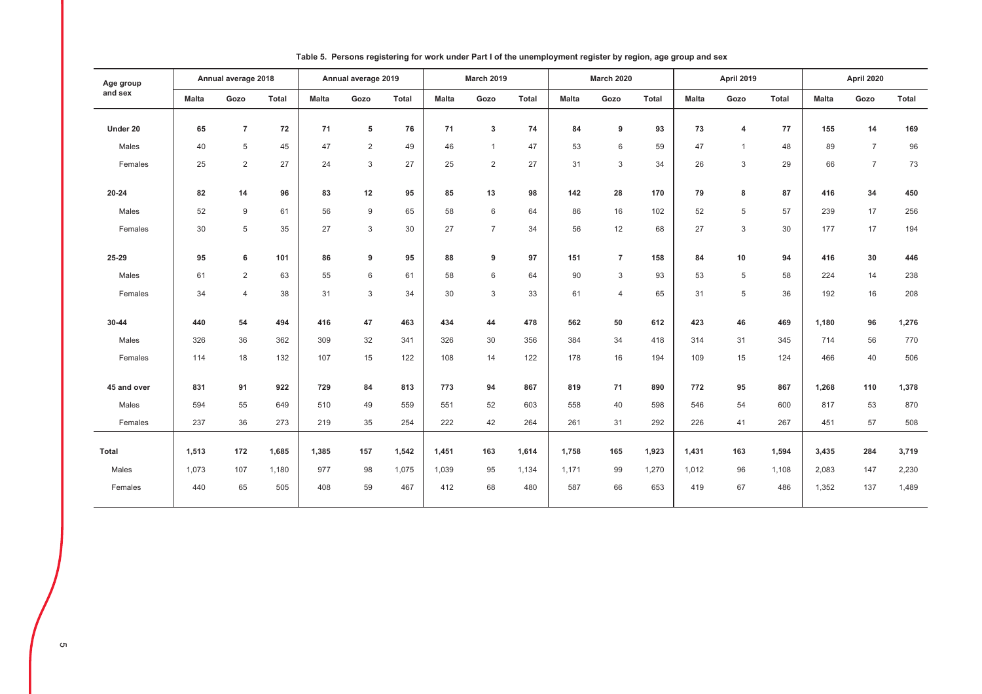| Age group    |              | Annual average 2018 |       |              | Annual average 2019 |              |              | <b>March 2019</b> |       |              | <b>March 2020</b> |       |              | April 2019   |       |              | April 2020     |              |
|--------------|--------------|---------------------|-------|--------------|---------------------|--------------|--------------|-------------------|-------|--------------|-------------------|-------|--------------|--------------|-------|--------------|----------------|--------------|
| and sex      | <b>Malta</b> | Gozo                | Total | <b>Malta</b> | Gozo                | <b>Total</b> | <b>Malta</b> | Gozo              | Total | <b>Malta</b> | Gozo              | Total | <b>Malta</b> | Gozo         | Total | <b>Malta</b> | Gozo           | <b>Total</b> |
| Under 20     | 65           | $\overline{7}$      | 72    | 71           | 5                   | 76           | 71           | 3                 | 74    | 84           | 9                 | 93    | 73           | 4            | 77    | 155          | 14             | 169          |
| Males        | 40           | 5                   | 45    | 47           | $\overline{2}$      | 49           | 46           | $\overline{1}$    | 47    | 53           | 6                 | 59    | 47           | $\mathbf{1}$ | 48    | 89           | $\overline{7}$ | 96           |
| Females      | 25           | 2                   | 27    | 24           | 3                   | 27           | 25           | 2                 | 27    | 31           | 3                 | 34    | 26           | 3            | 29    | 66           | $\overline{7}$ | 73           |
|              |              |                     |       |              |                     |              |              |                   |       |              |                   |       |              |              |       |              |                |              |
| $20 - 24$    | 82           | 14                  | 96    | 83           | 12                  | 95           | 85           | 13                | 98    | 142          | 28                | 170   | 79           | 8            | 87    | 416          | 34             | 450          |
| Males        | 52           | 9                   | 61    | 56           | $9\,$               | 65           | 58           | 6                 | 64    | 86           | 16                | 102   | 52           | 5            | 57    | 239          | 17             | 256          |
| Females      | 30           | 5                   | 35    | 27           | 3                   | 30           | 27           | $\overline{7}$    | 34    | 56           | 12                | 68    | 27           | 3            | 30    | 177          | 17             | 194          |
| 25-29        | 95           | 6                   | 101   | 86           | 9                   | 95           | 88           | 9                 | 97    | 151          | $\overline{7}$    | 158   | 84           | 10           | 94    | 416          | 30             | 446          |
|              |              |                     |       |              |                     |              |              |                   |       |              |                   |       |              |              |       |              |                |              |
| Males        | 61           | 2                   | 63    | 55           | 6                   | 61           | 58           | 6                 | 64    | 90           | 3                 | 93    | 53           | 5            | 58    | 224          | 14             | 238          |
| Females      | 34           | $\overline{4}$      | 38    | 31           | 3                   | 34           | 30           | 3                 | 33    | 61           | $\overline{4}$    | 65    | 31           | 5            | 36    | 192          | 16             | 208          |
| 30-44        | 440          | 54                  | 494   | 416          | 47                  | 463          | 434          | 44                | 478   | 562          | 50                | 612   | 423          | 46           | 469   | 1,180        | 96             | 1,276        |
| Males        | 326          | 36                  | 362   | 309          | 32                  | 341          | 326          | 30                | 356   | 384          | 34                | 418   | 314          | 31           | 345   | 714          | 56             | 770          |
| Females      | 114          | 18                  | 132   | 107          | 15                  | 122          | 108          | 14                | 122   | 178          | 16                | 194   | 109          | 15           | 124   | 466          | 40             | 506          |
|              |              |                     |       |              |                     |              |              |                   |       |              |                   |       |              |              |       |              |                |              |
| 45 and over  | 831          | 91                  | 922   | 729          | 84                  | 813          | 773          | 94                | 867   | 819          | 71                | 890   | 772          | 95           | 867   | 1,268        | 110            | 1,378        |
| Males        | 594          | 55                  | 649   | 510          | 49                  | 559          | 551          | 52                | 603   | 558          | 40                | 598   | 546          | 54           | 600   | 817          | 53             | 870          |
| Females      | 237          | 36                  | 273   | 219          | 35                  | 254          | 222          | 42                | 264   | 261          | 31                | 292   | 226          | 41           | 267   | 451          | 57             | 508          |
| <b>Total</b> | 1,513        | 172                 | 1,685 | 1,385        | 157                 | 1,542        | 1,451        | 163               | 1,614 | 1,758        | 165               | 1,923 | 1,431        | 163          | 1,594 | 3,435        | 284            | 3,719        |
|              |              |                     |       |              |                     |              |              |                   |       |              |                   |       |              |              |       |              |                |              |
| Males        | 1,073        | 107                 | 1,180 | 977          | 98                  | 1,075        | 1,039        | 95                | 1,134 | 1,171        | 99                | 1,270 | 1,012        | 96           | 1,108 | 2,083        | 147            | 2,230        |
| Females      | 440          | 65                  | 505   | 408          | 59                  | 467          | 412          | 68                | 480   | 587          | 66                | 653   | 419          | 67           | 486   | 1,352        | 137            | 1,489        |

Table 5. Persons registering for work under Part I of the unemployment register by region, age group and sex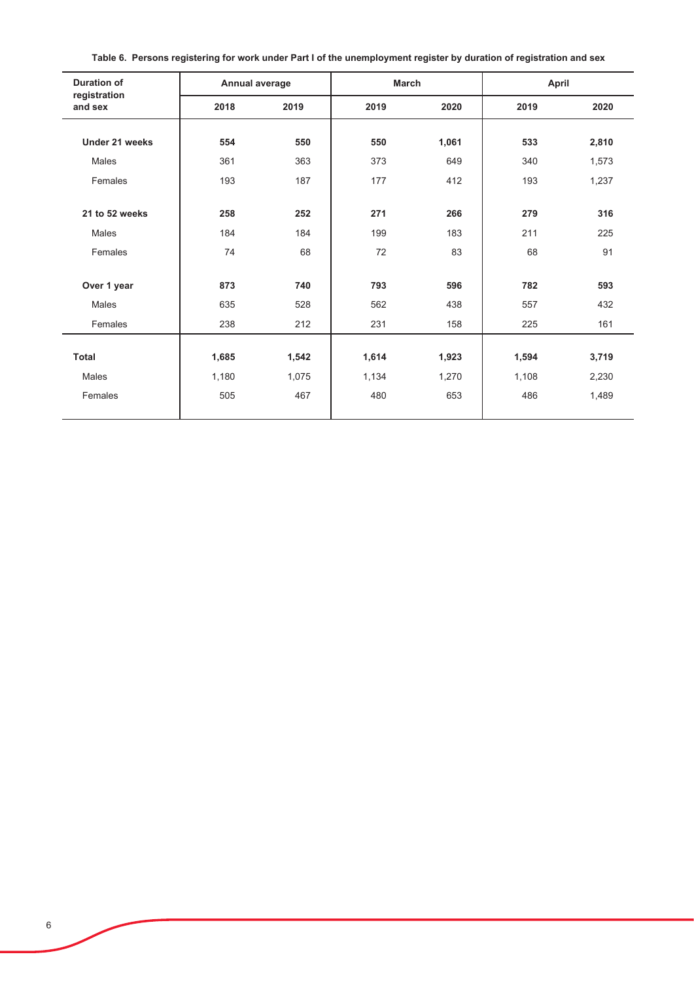| <b>Duration of</b>      | Annual average |       | <b>March</b> |       | April |       |
|-------------------------|----------------|-------|--------------|-------|-------|-------|
| registration<br>and sex | 2018           | 2019  | 2019         | 2020  | 2019  | 2020  |
|                         |                |       |              |       |       |       |
| Under 21 weeks          | 554            | 550   | 550          | 1,061 | 533   | 2,810 |
| Males                   | 361            | 363   | 373          | 649   | 340   | 1,573 |
| Females                 | 193            | 187   | 177          | 412   | 193   | 1,237 |
|                         |                |       |              |       |       |       |
| 21 to 52 weeks          | 258            | 252   | 271          | 266   | 279   | 316   |
| Males                   | 184            | 184   | 199          | 183   | 211   | 225   |
| Females                 | 74             | 68    | 72           | 83    | 68    | 91    |
|                         |                |       |              |       |       |       |
| Over 1 year             | 873            | 740   | 793          | 596   | 782   | 593   |
| Males                   | 635            | 528   | 562          | 438   | 557   | 432   |
| Females                 | 238            | 212   | 231          | 158   | 225   | 161   |
|                         |                |       |              |       |       |       |
| <b>Total</b>            | 1,685          | 1,542 | 1,614        | 1,923 | 1,594 | 3,719 |
| <b>Males</b>            | 1,180          | 1,075 | 1,134        | 1,270 | 1,108 | 2,230 |
| Females                 | 505            | 467   | 480          | 653   | 486   | 1,489 |
|                         |                |       |              |       |       |       |

Table 6. Persons registering for work under Part I of the unemployment register by duration of registration and sex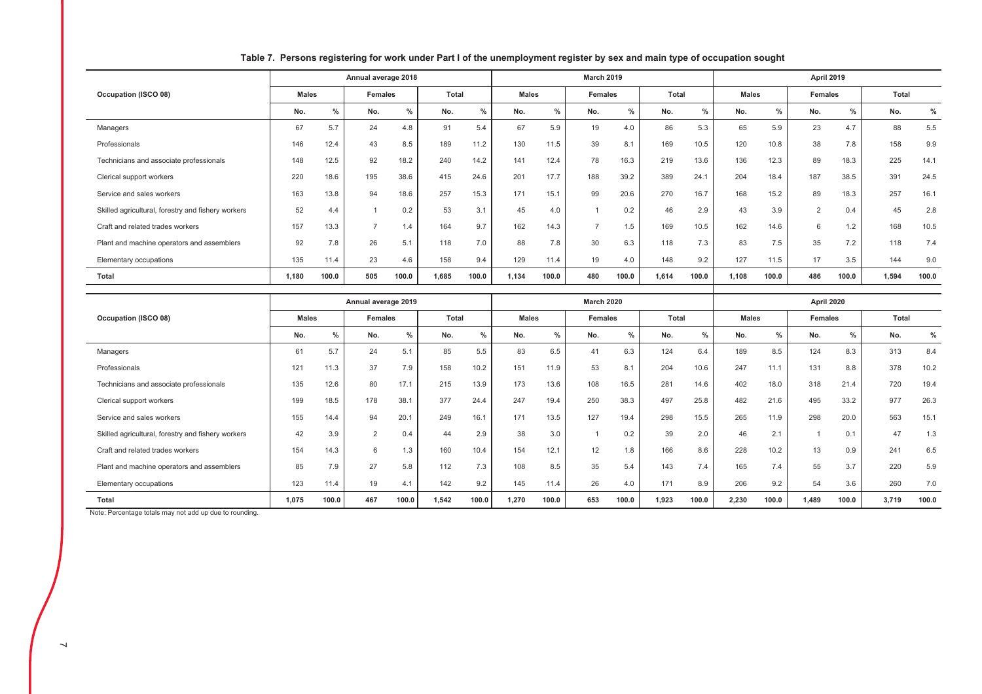|                                                    |              |       | Annual average 2018 |               |       |               |              |               | <b>March 2019</b> |       |       |       |              |               | <b>April 2019</b> |       |              |       |
|----------------------------------------------------|--------------|-------|---------------------|---------------|-------|---------------|--------------|---------------|-------------------|-------|-------|-------|--------------|---------------|-------------------|-------|--------------|-------|
| Occupation (ISCO 08)                               | <b>Males</b> |       | Females             |               | Total |               | <b>Males</b> |               | Females           |       | Total |       | <b>Males</b> |               | Females           |       | <b>Total</b> |       |
|                                                    | No.          | $\%$  | No.                 | $\frac{1}{2}$ | No.   | $\frac{0}{0}$ | No.          | $\frac{0}{2}$ | No.               | $\%$  | No.   | $\%$  | No.          | $\frac{9}{6}$ | No.               | $\%$  | No.          | $\%$  |
| Managers                                           | 67           | 5.7   | 24                  | 4.8           | 91    | 5.4           | 67           | 5.9           | 19                | 4.0   | 86    | 5.3   | 65           | 5.9           | 23                | 4.7   | 88           | 5.5   |
| Professionals                                      | 146          | 12.4  | 43                  | 8.5           | 189   | 11.2          | 130          | 11.5          | 39                | 8.1   | 169   | 10.5  | 120          | 10.8          | 38                | 7.8   | 158          | 9.9   |
| Technicians and associate professionals            | 148          | 12.5  | 92                  | 18.2          | 240   | 14.2          | 141          | 12.4          | 78                | 16.3  | 219   | 13.6  | 136          | 12.3          | 89                | 18.3  | 225          | 14.1  |
| Clerical support workers                           | 220          | 18.6  | 195                 | 38.6          | 415   | 24.6          | 201          | 17.7          | 188               | 39.2  | 389   | 24.1  | 204          | 18.4          | 187               | 38.5  | 391          | 24.5  |
| Service and sales workers                          | 163          | 13.8  | 94                  | 18.6          | 257   | 15.3          | 171          | 15.1          | 99                | 20.6  | 270   | 16.7  | 168          | 15.2          | 89                | 18.3  | 257          | 16.1  |
| Skilled agricultural, forestry and fishery workers | 52           | 4.4   |                     | 0.2           | 53    | 3.1           | 45           | 4.0           |                   | 0.2   | 46    | 2.9   | 43           | 3.9           | 2                 | 0.4   | 45           | 2.8   |
| Craft and related trades workers                   | 157          | 13.3  | $\rightarrow$       | 1.4           | 164   | 9.7           | 162          | 14.3          | $\rightarrow$     | 1.5   | 169   | 10.5  | 162          | 14.6          | 6                 | 1.2   | 168          | 10.5  |
| Plant and machine operators and assemblers         | 92           | 7.8   | 26                  | 5.1           | 118   | 7.0           | 88           | 7.8           | 30                | 6.3   | 118   | 7.3   | 83           | 7.5           | 35                | 7.2   | 118          | 7.4   |
| Elementary occupations                             | 135          | 11.4  | 23                  | 4.6           | 158   | 9.4           | 129          | 11.4          | 19                | 4.0   | 148   | 9.2   | 127          | 11.5          | 17                | 3.5   | 144          | 9.0   |
| Total                                              | 1,180        | 100.0 | 505                 | 100.0         | 1,685 | 100.0         | 1,134        | 100.0         | 480               | 100.0 | 1,614 | 100.0 | 1.108        | 100.0         | 486               | 100.0 | 1,594        | 100.0 |
|                                                    |              |       |                     |               |       |               |              |               |                   |       |       |       |              |               |                   |       |              |       |

## Table 7. Persons registering for work under Part I of the unemployment register by sex and main type of occupation sought

|                                                    |              |               | Annual average 2019 |               |              |               |              |               | <b>March 2020</b> |       |              |               |              |               | April 2020     |               |              |       |
|----------------------------------------------------|--------------|---------------|---------------------|---------------|--------------|---------------|--------------|---------------|-------------------|-------|--------------|---------------|--------------|---------------|----------------|---------------|--------------|-------|
| Occupation (ISCO 08)                               | <b>Males</b> |               | Females             |               | <b>Total</b> |               | <b>Males</b> |               | <b>Females</b>    |       | <b>Total</b> |               | <b>Males</b> |               | <b>Females</b> |               | <b>Total</b> |       |
|                                                    | No.          | $\frac{0}{n}$ | No.                 | $\frac{9}{6}$ | No.          | $\frac{0}{0}$ | No.          | $\frac{0}{6}$ | No.               | $\%$  | No.          | $\frac{9}{6}$ | No.          | $\frac{0}{0}$ | No.            | $\frac{9}{6}$ | No.          | $\%$  |
| Managers                                           | 61           | 5.7           | 24                  | 5.1           | 85           | 5.5           | 83           | 6.5           | 41                | 6.3   | 124          | 6.4           | 189          | 8.5           | 124            | 8.3           | 313          | 8.4   |
| Professionals                                      | 121          | 11.3          | 37                  | 7.9           | 158          | 10.2          | 151          | 11.9          | 53                | 8.1   | 204          | 10.6          | 247          | 11.1          | 131            | 8.8           | 378          | 10.2  |
| Technicians and associate professionals            | 135          | 12.6          | 80                  | 17.1          | 215          | 13.9          | 173          | 13.6          | 108               | 16.5  | 281          | 14.6          | 402          | 18.0          | 318            | 21.4          | 720          | 19.4  |
| Clerical support workers                           | 199          | 18.5          | 178                 | 38.1          | 377          | 24.4          | 247          | 19.4          | 250               | 38.3  | 497          | 25.8          | 482          | 21.6          | 495            | 33.2          | 977          | 26.3  |
| Service and sales workers                          | 155          | 14.4          | 94                  | 20.1          | 249          | 16.1          | 171          | 13.5          | 127               | 19.4  | 298          | 15.5          | 265          | 11.9          | 298            | 20.0          | 563          | 15.1  |
| Skilled agricultural, forestry and fishery workers | 42           | 3.9           | $\mathcal{P}$       | 0.4           | 44           | 2.9           | 38           | 3.0           |                   | 0.2   | 39           | 2.0           | 46           | 2.1           |                | 0.1           | 47           | 1.3   |
| Craft and related trades workers                   | 154          | 14.3          | 6                   | 1.3           | 160          | 10.4          | 154          | 12.1          | 12                | 1.8   | 166          | 8.6           | 228          | 10.2          | 13             | 0.9           | 241          | 6.5   |
| Plant and machine operators and assemblers         | 85           | 7.9           | 27                  | 5.8           | 112          | 7.3           | 108          | 8.5           | 35                | 5.4   | 143          | 7.4           | 165          | 7.4           | 55             | 3.7           | 220          | 5.9   |
| Elementary occupations                             | 123          | 11.4          | 19                  | 4.1           | 142          | 9.2           | 145          | 11.4          | 26                | 4.0   | 171          | 8.9           | 206          | 9.2           | 54             | 3.6           | 260          | 7.0   |
| Total                                              | 1,075        | 100.0         | 467                 | 100.0         | 1.542        | 100.0         | 1,270        | 100.0         | 653               | 100.0 | 1,923        | 100.0         | 2,230        | 100.0         | 1.489          | 100.0         | 3,719        | 100.0 |

Note: Percentage totals may not add up due to rounding.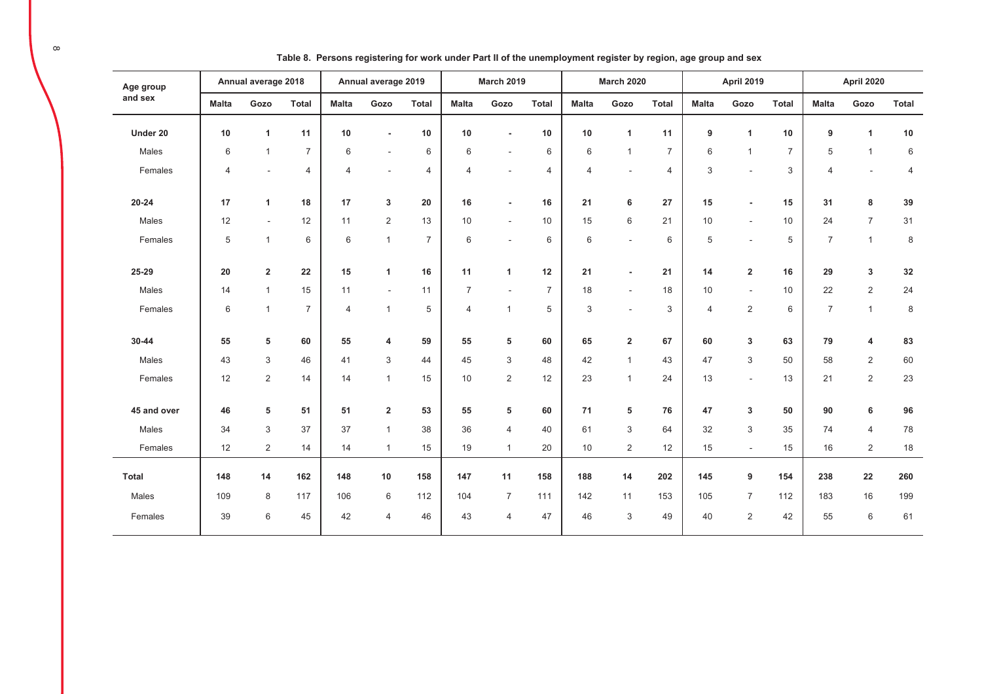| Age group    |                | Annual average 2018 |                |                | Annual average 2019      |                |                | <b>March 2019</b>         |                |                | <b>March 2020</b>         |                |                | <b>April 2019</b>        |                |                | April 2020     |                |
|--------------|----------------|---------------------|----------------|----------------|--------------------------|----------------|----------------|---------------------------|----------------|----------------|---------------------------|----------------|----------------|--------------------------|----------------|----------------|----------------|----------------|
| and sex      | <b>Malta</b>   | Gozo                | <b>Total</b>   | <b>Malta</b>   | Gozo                     | <b>Total</b>   | <b>Malta</b>   | Gozo                      | <b>Total</b>   | <b>Malta</b>   | Gozo                      | <b>Total</b>   | <b>Malta</b>   | Gozo                     | <b>Total</b>   | <b>Malta</b>   | Gozo           | <b>Total</b>   |
| Under 20     | 10             | $\mathbf{1}$        | 11             | 10             | $\blacksquare$           | 10             | 10             | $\blacksquare$            | 10             | 10             | $\overline{1}$            | 11             | 9              | $\blacktriangleleft$     | 10             | 9              | $\mathbf{1}$   | $10$           |
| Males        | 6              | $\mathbf{1}$        | $\overline{7}$ | 6              | $\overline{\phantom{a}}$ | 6              | 6              | $\blacksquare$            | 6              | 6              | $\overline{1}$            | $\overline{7}$ | 6              | $\overline{1}$           | $\overline{7}$ | 5              | $\mathbf{1}$   | $\,6\,$        |
| Females      | $\overline{4}$ | $\sim$              | $\overline{4}$ | $\overline{4}$ | $\sim$                   | $\overline{4}$ | 4              | $\overline{a}$            | $\overline{4}$ | $\overline{4}$ | $\overline{\phantom{a}}$  | $\overline{4}$ | 3              | ÷.                       | 3              | $\overline{4}$ | ÷              | $\overline{4}$ |
| $20 - 24$    | 17             | $\mathbf{1}$        | 18             | 17             | 3                        | 20             | 16             | $\overline{\phantom{a}}$  | 16             | 21             | 6                         | 27             | 15             | $\overline{\phantom{0}}$ | 15             | 31             | 8              | 39             |
| Males        | 12             | $\blacksquare$      | 12             | 11             | $\overline{2}$           | 13             | 10             | $\blacksquare$            | 10             | 15             | $\,6\,$                   | 21             | 10             | $\sim$                   | 10             | 24             | $\overline{7}$ | 31             |
| Females      | 5              | $\mathbf{1}$        | 6              | 6              | $\mathbf{1}$             | $\overline{7}$ | 6              | $\overline{\phantom{a}}$  | 6              | 6              | $\blacksquare$            | 6              | 5              |                          | 5              | $\overline{7}$ | $\mathbf{1}$   | 8              |
| 25-29        | 20             | $\overline{2}$      | 22             | 15             | 1                        | 16             | 11             | $\mathbf{1}$              | 12             | 21             | $\overline{\phantom{a}}$  | 21             | 14             | $\overline{2}$           | 16             | 29             | 3              | $32\,$         |
| Males        | 14             | $\mathbf{1}$        | 15             | 11             | $\sim$                   | 11             | $\overline{7}$ | $\overline{\phantom{a}}$  | $\overline{7}$ | 18             | $\sim$                    | 18             | 10             | $\sim$                   | 10             | 22             | 2              | 24             |
| Females      | 6              | $\overline{1}$      | $\overline{7}$ | $\overline{4}$ | $\mathbf{1}$             | 5              | $\overline{4}$ | $\mathbf{1}$              | 5              | 3              | $\sim$                    | 3              | $\overline{4}$ | $\overline{2}$           | 6              | $\overline{7}$ | $\mathbf{1}$   | $\,8\,$        |
| 30-44        | 55             | 5                   | 60             | 55             | 4                        | 59             | 55             | 5                         | 60             | 65             | $\overline{2}$            | 67             | 60             | 3                        | 63             | 79             | 4              | 83             |
| Males        | 43             | $\mathsf 3$         | 46             | 41             | 3                        | 44             | 45             | $\ensuremath{\mathsf{3}}$ | 48             | 42             | $\overline{1}$            | 43             | 47             | 3                        | 50             | 58             | $\overline{2}$ | 60             |
| Females      | 12             | $\overline{2}$      | 14             | 14             | $\mathbf{1}$             | 15             | 10             | 2                         | 12             | 23             | $\overline{1}$            | 24             | 13             | $\sim$                   | 13             | 21             | $\overline{2}$ | 23             |
| 45 and over  | 46             | 5                   | 51             | 51             | $\overline{\mathbf{2}}$  | 53             | 55             | 5                         | 60             | 71             | 5                         | 76             | 47             | 3                        | 50             | 90             | 6              | 96             |
| Males        | 34             | $\,3$               | 37             | 37             | $\mathbf{1}$             | 38             | 36             | $\overline{4}$            | 40             | 61             | $\ensuremath{\mathsf{3}}$ | 64             | 32             | 3                        | 35             | 74             | $\overline{4}$ | 78             |
| Females      | 12             | $\overline{2}$      | 14             | 14             | $\mathbf{1}$             | 15             | 19             | $\mathbf{1}$              | 20             | 10             | $\overline{2}$            | 12             | 15             | $\sim$                   | 15             | 16             | $\overline{2}$ | 18             |
| <b>Total</b> | 148            | 14                  | 162            | 148            | 10                       | 158            | 147            | 11                        | 158            | 188            | 14                        | 202            | 145            | 9                        | 154            | 238            | ${\bf 22}$     | 260            |
| Males        | 109            | $\bf 8$             | 117            | 106            | 6                        | 112            | 104            | $\overline{7}$            | 111            | 142            | 11                        | 153            | 105            | $\overline{7}$           | 112            | 183            | 16             | 199            |
| Females      | 39             | 6                   | 45             | 42             | $\overline{4}$           | 46             | 43             | $\overline{4}$            | 47             | 46             | $\sqrt{3}$                | 49             | 40             | $\overline{2}$           | 42             | 55             | 6              | 61             |

Table 8. Persons registering for work under Part II of the unemployment register by region, age group and sex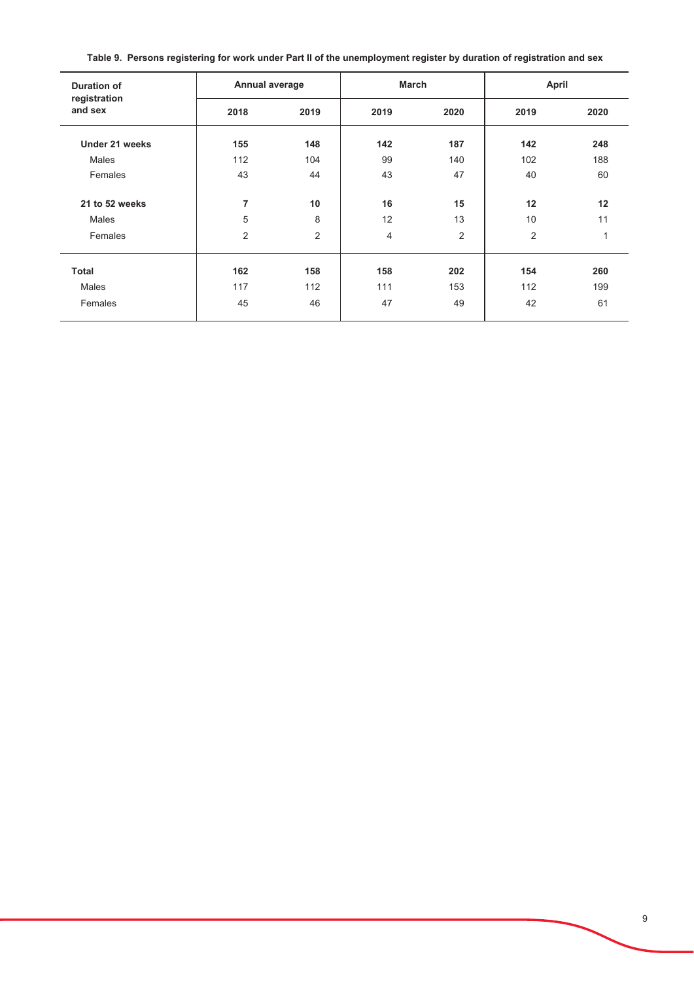|  |  | Table 9. Persons registering for work under Part II of the unemployment register by duration of registration and sex |
|--|--|----------------------------------------------------------------------------------------------------------------------|
|  |  |                                                                                                                      |

| <b>Duration of</b><br>registration | Annual average |                | <b>March</b> |      | April |      |
|------------------------------------|----------------|----------------|--------------|------|-------|------|
| and sex                            | 2018           | 2019           | 2019         | 2020 | 2019  | 2020 |
| Under 21 weeks                     | 155            | 148            | 142          | 187  | 142   | 248  |
| Males                              | 112            | 104            | 99           | 140  | 102   | 188  |
| Females                            | 43             | 44             | 43           | 47   | 40    | 60   |
| 21 to 52 weeks                     | 7              | 10             | 16           | 15   | 12    | 12   |
| Males                              | 5              | 8              | 12           | 13   | 10    | 11   |
| Females                            | 2              | $\overline{2}$ | 4            | 2    | 2     | 1    |
| <b>Total</b>                       | 162            | 158            | 158          | 202  | 154   | 260  |
| Males                              | 117            | 112            | 111          | 153  | 112   | 199  |
| Females                            | 45             | 46             | 47           | 49   | 42    | 61   |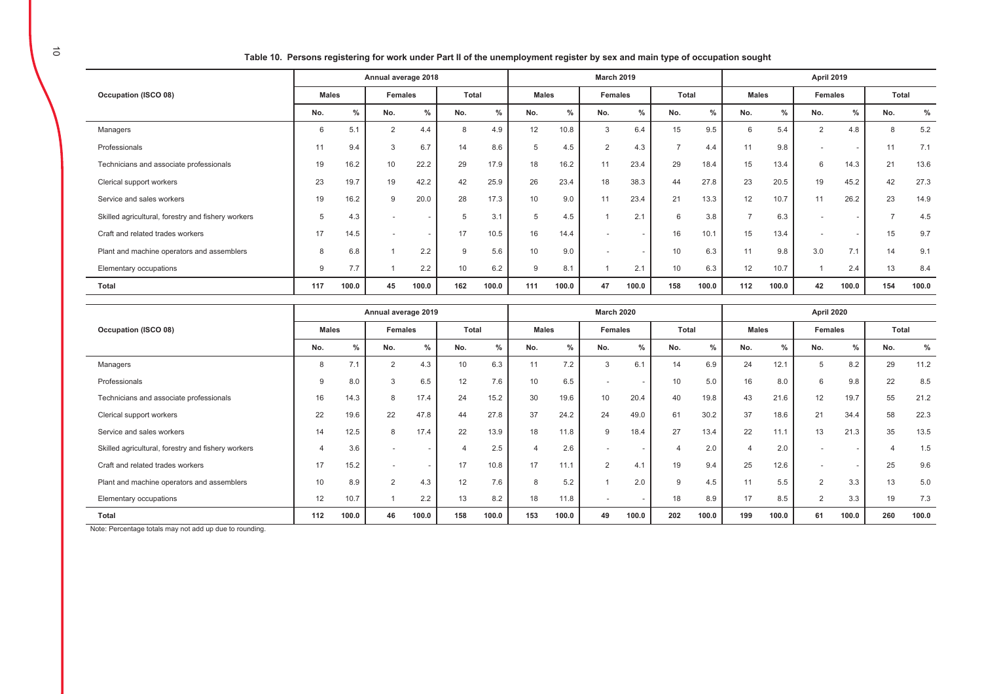| Table 10. Persons registering for work under Part II of the unemployment register by sex and main type of occupation sought |  |
|-----------------------------------------------------------------------------------------------------------------------------|--|
|                                                                                                                             |  |

|                                                    | Annual average 2018 |               |                |                          |       |       | <b>March 2019</b> |       |                          |        |                |       |                | <b>April 2019</b> |               |                          |       |       |  |  |
|----------------------------------------------------|---------------------|---------------|----------------|--------------------------|-------|-------|-------------------|-------|--------------------------|--------|----------------|-------|----------------|-------------------|---------------|--------------------------|-------|-------|--|--|
| Occupation (ISCO 08)                               | <b>Males</b>        |               | <b>Females</b> |                          | Total |       | <b>Males</b>      |       | Females                  |        | Total          |       | <b>Males</b>   |                   | Females       |                          | Total |       |  |  |
|                                                    | No.                 | $\frac{0}{n}$ | No.            | $\%$                     | No.   | $\%$  | No.               | $\%$  | No.                      | %      | No.            | %     | No.            | $\frac{0}{0}$     | No.           | $\frac{0}{0}$            | No.   | $\%$  |  |  |
| Managers                                           | 6                   | 5.1           | 2              | 4.4                      | 8     | 4.9   | 12                | 10.8  | 3                        | 6.4    | 15             | 9.5   | 6              | 5.4               | $\mathcal{P}$ | 4.8                      | 8     | 5.2   |  |  |
| Professionals                                      | 11                  | 9.4           | 3              | 6.7                      | 14    | 8.6   | 5                 | 4.5   | 2                        | 4.3    | $\overline{ }$ | 4.4   | 11             | 9.8               |               | $\overline{\phantom{a}}$ | 11    | 7.1   |  |  |
| Technicians and associate professionals            | 19                  | 16.2          | 10             | 22.2                     | 29    | 17.9  | 18                | 16.2  | 11                       | 23.4   | 29             | 18.4  | 15             | 13.4              | 6             | 14.3                     | 21    | 13.6  |  |  |
| Clerical support workers                           | 23                  | 19.7          | 19             | 42.2                     | 42    | 25.9  | 26                | 23.4  | 18                       | 38.3   | 44             | 27.8  | 23             | 20.5              | 19            | 45.2                     | 42    | 27.3  |  |  |
| Service and sales workers                          | 19                  | 16.2          | 9              | 20.0                     | 28    | 17.3  | 10                | 9.0   | 11                       | 23.4   | 21             | 13.3  | 12             | 10.7              | 11            | 26.2                     | 23    | 14.9  |  |  |
| Skilled agricultural, forestry and fishery workers | 5                   | 4.3           | $\overline{a}$ | $\overline{\phantom{a}}$ | 5     | 3.1   | 5                 | 4.5   |                          | 2.1    | 6              | 3.8   | $\overline{ }$ | 6.3               |               | $\overline{a}$           | -     | 4.5   |  |  |
| Craft and related trades workers                   | 17                  | 14.5          | $\overline{a}$ | $\sim$                   | 17    | 10.5  | 16                | 14.4  | $\overline{\phantom{a}}$ |        | 16             | 10.1  | 15             | 13.4              |               | $\overline{a}$           | 15    | 9.7   |  |  |
| Plant and machine operators and assemblers         | 8                   | 6.8           |                | 2.2                      | 9     | 5.6   | 10                | 9.0   | $\overline{\phantom{a}}$ | $\sim$ | 10             | 6.3   | 11             | 9.8               | 3.0           | 7.1                      | 14    | 9.1   |  |  |
| Elementary occupations                             | 9                   | 7.7           |                | 2.2                      | 10    | 6.2   | 9                 | 8.1   |                          | 2.1    | 10             | 6.3   | 12             | 10.7              |               | 2.4                      | 13    | 8.4   |  |  |
| Total                                              | 117                 | 100.0         | 45             | 100.0                    | 162   | 100.0 | 111               | 100.0 | 47                       | 100.0  | 158            | 100.0 | 112            | 100.0             | 42            | 100.0                    | 154   | 100.0 |  |  |

|                                                    | Annual average 2019 |               |                          |                          |              |               |              | <b>March 2020</b> |                          | April 2020    |       |               |                |               |                |                          |       |       |
|----------------------------------------------------|---------------------|---------------|--------------------------|--------------------------|--------------|---------------|--------------|-------------------|--------------------------|---------------|-------|---------------|----------------|---------------|----------------|--------------------------|-------|-------|
| Occupation (ISCO 08)                               | <b>Males</b>        |               | <b>Females</b>           |                          | <b>Total</b> |               | <b>Males</b> |                   | <b>Females</b>           |               | Total |               | <b>Males</b>   |               | <b>Females</b> |                          | Total |       |
|                                                    |                     | $\frac{0}{0}$ | No.                      | $\%$                     | No.          | $\frac{0}{0}$ | No.          | $\%$              | No.                      | $\frac{0}{0}$ | No.   | $\frac{0}{0}$ | No.            | $\frac{0}{0}$ | No.            | %                        | No.   | %     |
| Managers                                           |                     | 7.1           | 2                        | 4.3                      | 10           | 6.3           | 11           | 7.2               | 3                        | 6.1           | 14    | 6.9           | 24             | 12.1          | 5              | 8.2                      | 29    | 11.2  |
| Professionals                                      | 9                   | 8.0           |                          | 6.5                      | 12           | 7.6           | 10           | 6.5               |                          |               | 10    | 5.0           | 16             | 8.0           | 6              | 9.8                      | 22    | 8.5   |
| Technicians and associate professionals            | 16                  | 14.3          |                          | 17.4                     | 24           | 15.2          | 30           | 19.6              | 10                       | 20.4          | 40    | 19.8          | 43             | 21.6          | 12             | 19.7                     | 55    | 21.2  |
| Clerical support workers                           | 22                  | 19.6          | 22                       | 47.8                     | 44           | 27.8          | 37           | 24.2              | 24                       | 49.0          | 61    | 30.2          | 37             | 18.6          | 21             | 34.4                     | 58    | 22.3  |
| Service and sales workers                          | 14                  | 12.5          | 8                        | 17.4                     | 22           | 13.9          | 18           | 11.8              | 9                        | 18.4          | 27    | 13.4          | 22             | 11.1          | 13             | 21.3                     | 35    | 13.5  |
| Skilled agricultural, forestry and fishery workers |                     | 3.6           |                          | $\overline{a}$           |              | 2.5           |              | 2.6               | $\overline{\phantom{a}}$ |               | 4     | 2.0           | $\overline{4}$ | 2.0           |                |                          |       | 1.5   |
| Craft and related trades workers                   | 17                  | 15.2          | $\overline{\phantom{a}}$ | $\overline{\phantom{a}}$ | 17           | 10.8          | 17           | 11.1              | $\Omega$                 | 4.1           | 19    | 9.4           | 25             | 12.6          |                | $\overline{\phantom{a}}$ | 25    | 9.6   |
| Plant and machine operators and assemblers         | 10                  | 8.9           | $\overline{2}$           | 4.3                      | 12           | 7.6           | 8            | 5.2               |                          | 2.0           | 9     | 4.5           | 11             | 5.5           | $\overline{2}$ | 3.3                      | 13    | 5.0   |
| Elementary occupations                             | 12                  | 10.7          |                          | 2.2                      | 13           | 8.2           | 18           | 11.8              | $\overline{\phantom{a}}$ |               | 18    | 8.9           | 17             | 8.5           | $\overline{2}$ | 3.3                      | 19    | 7.3   |
| Total                                              | 112                 | 100.0         | 46                       | 100.0                    | 158          | 100.0         | 153          | 100.0             | 49                       | 100.0         | 202   | 100.0         | 199            | 100.0         | 61             | 100.0                    | 260   | 100.0 |

Note: Percentage totals may not add up due to rounding.